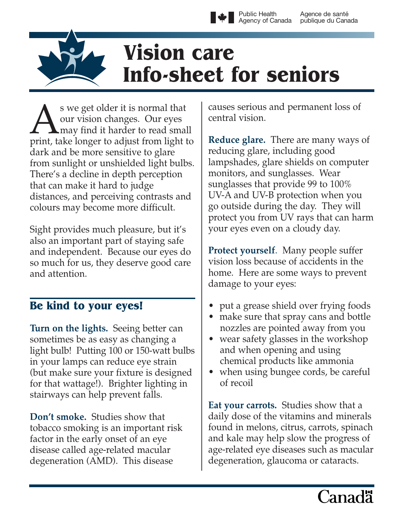Public Health Agency of Canada Agence de santé publique du Canada

# **Vision care Info-sheet for seniors**

S we get older it is normal that<br>our vision changes. Our eyes<br>print, take longer to adjust from light our vision changes. Our eyes **L** may find it harder to read small print, take longer to adjust from light to dark and be more sensitive to glare from sunlight or unshielded light bulbs. There's a decline in depth perception that can make it hard to judge distances, and perceiving contrasts and colours may become more difficult.

Sight provides much pleasure, but it's also an important part of staying safe and independent. Because our eyes do so much for us, they deserve good care and attention.

# **Be kind to your eyes!**

**Turn on the lights.** Seeing better can sometimes be as easy as changing a light bulb! Putting 100 or 150-watt bulbs in your lamps can reduce eye strain (but make sure your fixture is designed for that wattage!). Brighter lighting in stairways can help prevent falls.

**Don't smoke.** Studies show that tobacco smoking is an important risk factor in the early onset of an eye disease called age-related macular degeneration (AMD). This disease

causes serious and permanent loss of central vision.

**Reduce glare.** There are many ways of reducing glare, including good lampshades, glare shields on computer monitors, and sunglasses. Wear sunglasses that provide 99 to 100% UV-A and UV-B protection when you go outside during the day. They will protect you from UV rays that can harm your eyes even on a cloudy day.

**Protect yourself**. Many people suffer vision loss because of accidents in the home. Here are some ways to prevent damage to your eyes:

- put a grease shield over frying foods
- make sure that spray cans and bottle nozzles are pointed away from you
- wear safety glasses in the workshop and when opening and using chemical products like ammonia
- when using bungee cords, be careful of recoil

**Eat your carrots.** Studies show that a daily dose of the vitamins and minerals found in melons, citrus, carrots, spinach and kale may help slow the progress of age-related eye diseases such as macular degeneration, glaucoma or cataracts.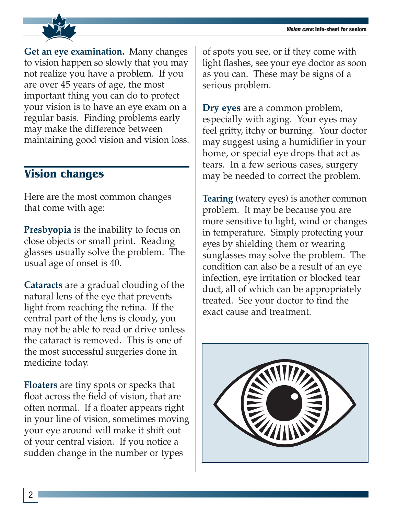

**Get an eye examination.** Many changes to vision happen so slowly that you may not realize you have a problem. If you are over 45 years of age, the most important thing you can do to protect your vision is to have an eye exam on a regular basis. Finding problems early may make the difference between maintaining good vision and vision loss.

# **Vision changes**

Here are the most common changes that come with age:

**Presbyopia** is the inability to focus on close objects or small print. Reading glasses usually solve the problem. The usual age of onset is 40.

**Cataracts** are a gradual clouding of the natural lens of the eye that prevents light from reaching the retina. If the central part of the lens is cloudy, you may not be able to read or drive unless the cataract is removed. This is one of the most successful surgeries done in medicine today.

**Floaters** are tiny spots or specks that float across the field of vision, that are often normal. If a floater appears right in your line of vision, sometimes moving your eye around will make it shift out of your central vision. If you notice a sudden change in the number or types

of spots you see, or if they come with light flashes, see your eye doctor as soon as you can. These may be signs of a serious problem.

**Dry eyes** are a common problem, especially with aging. Your eyes may feel gritty, itchy or burning. Your doctor may suggest using a humidifier in your home, or special eye drops that act as tears. In a few serious cases, surgery may be needed to correct the problem.

**Tearing** (watery eyes) is another common problem. It may be because you are more sensitive to light, wind or changes in temperature. Simply protecting your eyes by shielding them or wearing sunglasses may solve the problem. The condition can also be a result of an eye infection, eye irritation or blocked tear duct, all of which can be appropriately treated. See your doctor to find the exact cause and treatment.

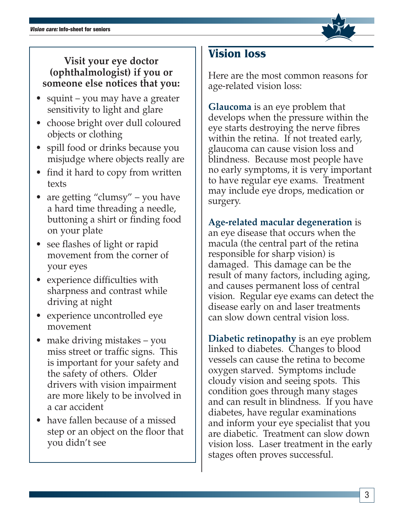#### **Visit your eye doctor (ophthalmologist) if you or someone else notices that you:**

- squint you may have a greater sensitivity to light and glare
- choose bright over dull coloured objects or clothing
- spill food or drinks because you misjudge where objects really are
- find it hard to copy from written texts
- are getting "clumsy" you have a hard time threading a needle, buttoning a shirt or finding food on your plate
- see flashes of light or rapid movement from the corner of your eyes
- experience difficulties with sharpness and contrast while driving at night
- experience uncontrolled eye movement
- make driving mistakes you miss street or traffic signs. This is important for your safety and the safety of others. Older drivers with vision impairment are more likely to be involved in a car accident
- have fallen because of a missed step or an object on the floor that you didn't see

# **Vision loss**

Here are the most common reasons for age-related vision loss:

**Glaucoma** is an eye problem that develops when the pressure within the eye starts destroying the nerve fibres within the retina. If not treated early, glaucoma can cause vision loss and blindness. Because most people have no early symptoms, it is very important to have regular eye exams. Treatment may include eye drops, medication or surgery.

**Age-related macular degeneration** is an eye disease that occurs when the macula (the central part of the retina responsible for sharp vision) is damaged. This damage can be the result of many factors, including aging, and causes permanent loss of central vision. Regular eye exams can detect the disease early on and laser treatments can slow down central vision loss.

**Diabetic retinopathy** is an eye problem linked to diabetes. Changes to blood vessels can cause the retina to become oxygen starved. Symptoms include cloudy vision and seeing spots. This condition goes through many stages and can result in blindness. If you have diabetes, have regular examinations and inform your eye specialist that you are diabetic. Treatment can slow down vision loss. Laser treatment in the early stages often proves successful.